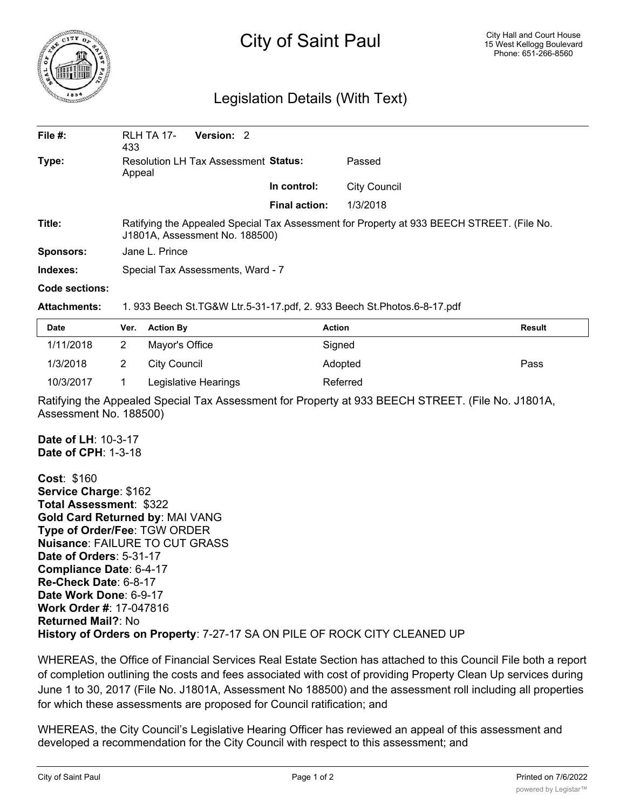

## City of Saint Paul

## Legislation Details (With Text)

| File $#$ :            | <b>RLH TA 17-</b><br>433                                                                                                    | Version: 2 |                      |                     |  |  |
|-----------------------|-----------------------------------------------------------------------------------------------------------------------------|------------|----------------------|---------------------|--|--|
| Type:                 | Resolution LH Tax Assessment Status:<br>Appeal                                                                              |            |                      | Passed              |  |  |
|                       |                                                                                                                             |            | In control:          | <b>City Council</b> |  |  |
|                       |                                                                                                                             |            | <b>Final action:</b> | 1/3/2018            |  |  |
| Title:                | Ratifying the Appealed Special Tax Assessment for Property at 933 BEECH STREET. (File No.<br>J1801A, Assessment No. 188500) |            |                      |                     |  |  |
| <b>Sponsors:</b>      | Jane L. Prince                                                                                                              |            |                      |                     |  |  |
| Indexes:              | Special Tax Assessments, Ward - 7                                                                                           |            |                      |                     |  |  |
| <b>Code sections:</b> |                                                                                                                             |            |                      |                     |  |  |

## **Attachments:** 1. 933 Beech St.TG&W Ltr.5-31-17.pdf, 2. 933 Beech St.Photos.6-8-17.pdf

| <b>Date</b> | Ver. Action By       | <b>Action</b> | Result |
|-------------|----------------------|---------------|--------|
| 1/11/2018   | Mayor's Office       | Signed        |        |
| 1/3/2018    | City Council         | Adopted       | Pass   |
| 10/3/2017   | Legislative Hearings | Referred      |        |

Ratifying the Appealed Special Tax Assessment for Property at 933 BEECH STREET. (File No. J1801A, Assessment No. 188500)

**Date of LH**: 10-3-17 **Date of CPH**: 1-3-18

**Cost**: \$160 **Service Charge**: \$162 **Total Assessment**: \$322 **Gold Card Returned by**: MAI VANG **Type of Order/Fee**: TGW ORDER **Nuisance**: FAILURE TO CUT GRASS **Date of Orders**: 5-31-17 **Compliance Date**: 6-4-17 **Re-Check Date**: 6-8-17 **Date Work Done**: 6-9-17 **Work Order #**: 17-047816 **Returned Mail?**: No **History of Orders on Property**: 7-27-17 SA ON PILE OF ROCK CITY CLEANED UP

WHEREAS, the Office of Financial Services Real Estate Section has attached to this Council File both a report of completion outlining the costs and fees associated with cost of providing Property Clean Up services during June 1 to 30, 2017 (File No. J1801A, Assessment No 188500) and the assessment roll including all properties for which these assessments are proposed for Council ratification; and

WHEREAS, the City Council's Legislative Hearing Officer has reviewed an appeal of this assessment and developed a recommendation for the City Council with respect to this assessment; and